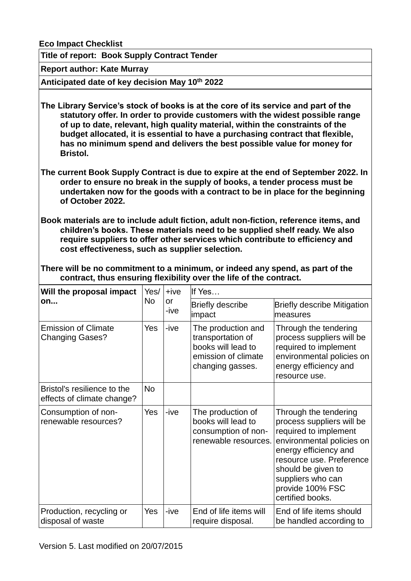**Eco Impact Checklist**

**Title of report: Book Supply Contract Tender**

**Report author: Kate Murray**

**Anticipated date of key decision May 10th 2022**

**The Library Service's stock of books is at the core of its service and part of the statutory offer. In order to provide customers with the widest possible range of up to date, relevant, high quality material, within the constraints of the budget allocated, it is essential to have a purchasing contract that flexible, has no minimum spend and delivers the best possible value for money for Bristol.** 

**The current Book Supply Contract is due to expire at the end of September 2022. In order to ensure no break in the supply of books, a tender process must be undertaken now for the goods with a contract to be in place for the beginning of October 2022.**

**Book materials are to include adult fiction, adult non-fiction, reference items, and children's books. These materials need to be supplied shelf ready. We also require suppliers to offer other services which contribute to efficiency and cost effectiveness, such as supplier selection.**

**There will be no commitment to a minimum, or indeed any spend, as part of the contract, thus ensuring flexibility over the life of the contract.**

| Will the proposal impact<br>on                            | Yes/      | $+ive$     | If Yes                                                                                                   |                                                                                                                                                                                                                                                  |
|-----------------------------------------------------------|-----------|------------|----------------------------------------------------------------------------------------------------------|--------------------------------------------------------------------------------------------------------------------------------------------------------------------------------------------------------------------------------------------------|
|                                                           | <b>No</b> | or<br>-ive | <b>Briefly describe</b><br>impact                                                                        | <b>Briefly describe Mitigation</b><br>measures                                                                                                                                                                                                   |
| <b>Emission of Climate</b><br><b>Changing Gases?</b>      | Yes       | -ive       | The production and<br>transportation of<br>books will lead to<br>emission of climate<br>changing gasses. | Through the tendering<br>process suppliers will be<br>required to implement<br>environmental policies on<br>energy efficiency and<br>resource use.                                                                                               |
| Bristol's resilience to the<br>effects of climate change? | <b>No</b> |            |                                                                                                          |                                                                                                                                                                                                                                                  |
| Consumption of non-<br>renewable resources?               | Yes       | -ive       | The production of<br>books will lead to<br>consumption of non-<br>renewable resources.                   | Through the tendering<br>process suppliers will be<br>required to implement<br>environmental policies on<br>energy efficiency and<br>resource use. Preference<br>should be given to<br>suppliers who can<br>provide 100% FSC<br>certified books. |
| Production, recycling or<br>disposal of waste             | Yes       | -ive       | End of life items will<br>require disposal.                                                              | End of life items should<br>be handled according to                                                                                                                                                                                              |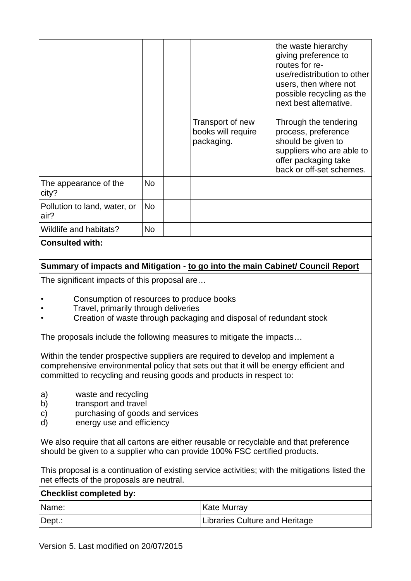|                                      |           | Transport of new<br>books will require<br>packaging. | the waste hierarchy<br>giving preference to<br>routes for re-<br>use/redistribution to other<br>users, then where not<br>possible recycling as the<br>next best alternative.<br>Through the tendering<br>process, preference<br>should be given to<br>suppliers who are able to<br>offer packaging take<br>back or off-set schemes. |
|--------------------------------------|-----------|------------------------------------------------------|-------------------------------------------------------------------------------------------------------------------------------------------------------------------------------------------------------------------------------------------------------------------------------------------------------------------------------------|
| The appearance of the<br>city?       | <b>No</b> |                                                      |                                                                                                                                                                                                                                                                                                                                     |
| Pollution to land, water, or<br>air? | <b>No</b> |                                                      |                                                                                                                                                                                                                                                                                                                                     |
| Wildlife and habitats?               | No        |                                                      |                                                                                                                                                                                                                                                                                                                                     |

## **Consulted with:**

## **Summary of impacts and Mitigation - to go into the main Cabinet/ Council Report**

The significant impacts of this proposal are…

- Consumption of resources to produce books
- Travel, primarily through deliveries
- Creation of waste through packaging and disposal of redundant stock

The proposals include the following measures to mitigate the impacts…

Within the tender prospective suppliers are required to develop and implement a comprehensive environmental policy that sets out that it will be energy efficient and committed to recycling and reusing goods and products in respect to:

- a) waste and recycling
- b) transport and travel
- c) purchasing of goods and services
- d) energy use and efficiency

We also require that all cartons are either reusable or recyclable and that preference should be given to a supplier who can provide 100% FSC certified products.

This proposal is a continuation of existing service activities; with the mitigations listed the net effects of the proposals are neutral.

## **Checklist completed by:**

| Name:  | <b>Kate Murray</b>             |
|--------|--------------------------------|
| Dept.: | Libraries Culture and Heritage |